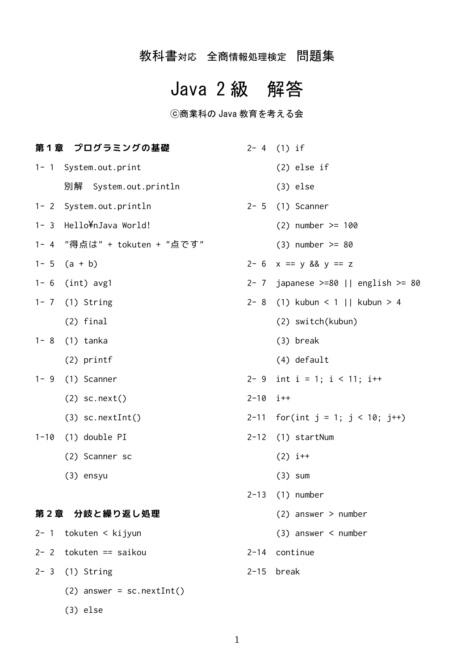# 教科書対応 全商情報処理検定 問題集

# Java 2 級 解答

# ⓒ商業科の Java 教育を考える会

|          | 第1章 プログラミングの基礎               |              | $2 - 4$ (1) if                               |
|----------|------------------------------|--------------|----------------------------------------------|
|          | 1- 1 System.out.print        |              | $(2)$ else if                                |
|          | 別解 System.out.println        |              | $(3)$ else                                   |
|          | 1- 2 System.out.println      |              | $2 - 5$ (1) Scanner                          |
|          | 1- 3 Hello¥nJava World!      |              | $(2)$ number >= 100                          |
|          | 1- 4 "得点は" + tokuten + "点です" |              | $(3)$ number >= 80                           |
|          | $1 - 5$ $(a + b)$            |              | $2 - 6$ x == y && y == z                     |
|          | $1 - 6$ (int) avg1           |              | 2- 7 japanese >=80    english >= 80          |
|          | $1 - 7$ (1) String           |              | 2- 8 (1) kubun < 1    kubun > 4              |
|          | $(2)$ final                  |              | (2) switch(kubun)                            |
| $1 - 8$  | (1) tanka                    |              | $(3)$ break                                  |
|          | $(2)$ printf                 |              | (4) default                                  |
| $1 - 9$  | (1) Scanner                  |              | 2- 9 int i = 1; i < 11; i++                  |
|          | $(2)$ sc.next()              | $2 - 10$ i++ |                                              |
|          | $(3)$ sc.nextInt $()$        |              | 2-11 for(int $j = 1$ ; $j < 10$ ; $j^{++}$ ) |
| $1 - 10$ | (1) double PI                |              | $2-12$ (1) startNum                          |
|          | (2) Scanner sc               |              | $(2) i++$                                    |
|          | $(3)$ ensyu                  |              | $(3)$ sum                                    |
|          |                              |              | 2-13 (1) number                              |
|          | 第2章 分岐と繰り返し処理                |              | $(2)$ answer > number                        |
| $2 - 1$  | tokuten < kijyun             |              | $(3)$ answer < number                        |
|          | $2 - 2$ tokuten == saikou    |              | 2-14 continue                                |
| $2 - 3$  | (1) String                   | $2 - 15$     | break                                        |
|          | $(2)$ answer = sc.nextInt()  |              |                                              |
|          | $(3)$ else                   |              |                                              |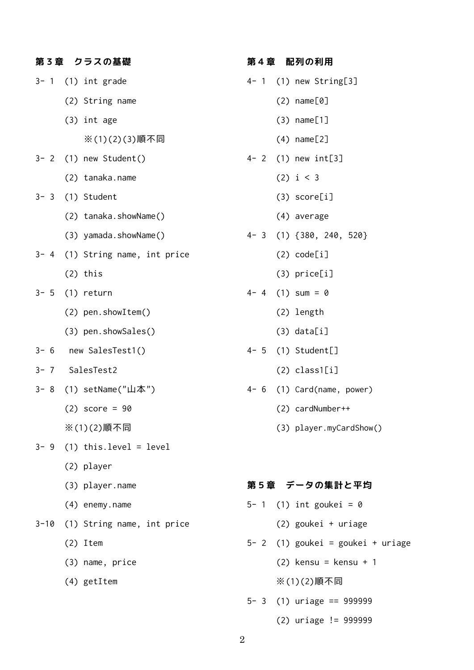| 第3章 クラスの基礎                      |
|---------------------------------|
| $3 - 1$ (1) int grade           |
| (2) String name                 |
| $(3)$ int age                   |
| ※(1)(2)(3)順不同                   |
| 3- 2 (1) new Student()          |
| (2) tanaka.name                 |
| 3- 3 (1) Student                |
| (2) tanaka.showName()           |
| (3) yamada.showName()           |
| 3- 4 (1) String name, int price |
| $(2)$ this                      |
| $3 - 5$ (1) return              |
| (2) pen.showItem()              |
| (3) pen.showSales()             |
| 3- 6 new SalesTest1()           |
| 3-7 SalesTest2                  |
| 3- 8 (1) setName("山本")          |
| (2) score = 90                  |
| ※(1)(2)順不同                      |
| $3 - 9$ (1) this. level = level |
| (2) player                      |
| (3) player.name                 |
| (4) enemy.name                  |
| 3-10 (1) String name, int price |
| $(2)$ Item                      |
| (3) name, price                 |
| (4) getItem                     |

### **第4章 配列の利用**

- 4- 1 (1) new String[3]
	- (2) name[0]
	- (3) name[1]
	- (4) name[2]
- 4- 2 (1) new int[3]
	- (2) i < 3
	- (3) score[i]
	- (4) average
- 4- 3 (1) {380, 240, 520}
	- (2) code[i]
	- (3) price[i]
- $4 4$  (1) sum = 0
	- (2) length
	- (3) data[i]
- 4- 5 (1) Student[]
	- (2) class1[i]
- 4- 6 (1) Card(name, power)
	- (2) cardNumber++
	- (3) player.myCardShow()

# **第5章 データの集計と平均**

- 5- 1 (1) int goukei =  $\theta$ 
	- (2) goukei + uriage
- 5- 2 (1) goukei = goukei + uriage
	- (2) kensu = kensu + 1
	- ※(1)(2)順不同
- 5- 3 (1) uriage == 999999
	- (2) uriage != 999999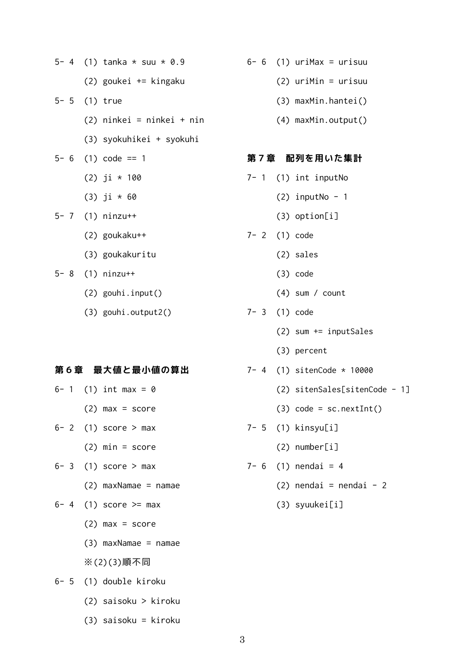|  | 5- 4 (1) tanka $*$ suu $*$ 0.9 |
|--|--------------------------------|
|  | (2) goukei += kingaku          |
|  | $5 - 5$ (1) true               |
|  | (2) ninkei = ninkei + nin      |
|  | (3) syokuhikei + syokuhi       |
|  | $5 - 6$ (1) code == 1          |
|  | $(2)$ ji * 100                 |
|  | $(3)$ ji * 60                  |
|  | $5 - 7$ (1) ninzu++            |
|  | $(2)$ goukaku++                |
|  | (3) goukakuritu                |
|  | $5 - 8$ (1) ninzu++            |
|  | $(2)$ gouhi.input $()$         |

(3) gouhi.output2()

#### **第6章 最大値と最小値の算出**

- 6- 1 (1) int max =  $\theta$  $(2)$  max = score  $6- 2$  (1) score > max (2) min = score  $6-3$  (1) score > max (2) maxNamae = namae 6- 4 (1) score  $>=$  max  $(2)$  max = score (3) maxNamae = namae ※(2)(3)順不同
- 6- 5 (1) double kiroku
	- (2) saisoku > kiroku
	- (3) saisoku = kiroku
- $6- 6$  (1) uriMax = urisuu
	- (2) uriMin = urisuu
	- (3) maxMin.hantei()
	- (4) maxMin.output()

#### **第7章 配列を用いた集計**

- 7- 1 (1) int inputNo
	- $(2)$  inputNo 1
	- (3) option[i]
- 7- 2 (1) code
	- (2) sales
	- (3) code
	- (4) sum / count
- 7- 3 (1) code
	- (2) sum += inputSales
	- (3) percent
- 7- 4 (1) sitenCode \* 10000
	- (2) sitenSales[sitenCode 1]
	- (3) code = sc.nextInt()
- 7- 5 (1) kinsyu[i]
	- (2) number[i]
- $7 6$  (1) nendai = 4
	- $(2)$  nendai = nendai 2
	- (3) syuukei[i]